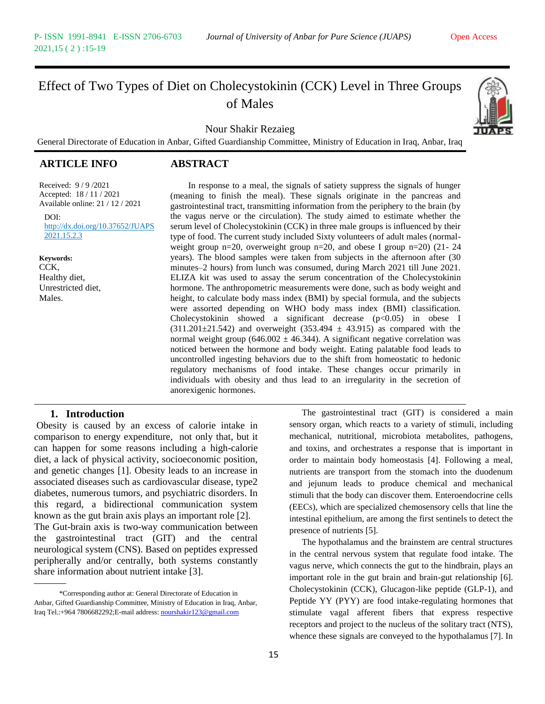# Effect of Two Types of Diet on Cholecystokinin (CCK) Level in Three Groups of Males

Nour Shakir Rezaieg

General Directorate of Education in Anbar, Gifted Guardianship Committee, Ministry of Education in Iraq, Anbar, Iraq

# **ARTICLE INFO ABSTRACT**

Received: 9 / 9 /2021 Accepted: 18 / 11 / 2021 Available online: 21 / 12 / 2021

 $DOI<sup>+</sup>$ http://dx.doi.org/10.37652/JUAPS. 2021.15.2.3

#### **Keywords:**

CCK, Healthy diet, Unrestricted diet, Males.

 In response to a meal, the signals of satiety suppress the signals of hunger (meaning to finish the meal). These signals originate in the pancreas and gastrointestinal tract, transmitting information from the periphery to the brain (by the vagus nerve or the circulation). The study aimed to estimate whether the serum level of Cholecystokinin (CCK) in three male groups is influenced by their type of food. The current study included Sixty volunteers of adult males (normalweight group n=20, overweight group n=20, and obese I group n=20) (21- 24 years). The blood samples were taken from subjects in the afternoon after (30 minutes–2 hours) from lunch was consumed, during March 2021 till June 2021. ELIZA kit was used to assay the serum concentration of the Cholecystokinin hormone. The anthropometric measurements were done, such as body weight and height, to calculate body mass index (BMI) by special formula, and the subjects were assorted depending on WHO body mass index (BMI) classification. Cholecystokinin showed a significant decrease  $(p<0.05)$  in obese I  $(311.201 \pm 21.542)$  and overweight  $(353.494 \pm 43.915)$  as compared with the normal weight group (646.002  $\pm$  46.344). A significant negative correlation was noticed between the hormone and body weight. Eating palatable food leads to uncontrolled ingesting behaviors due to the shift from homeostatic to hedonic regulatory mechanisms of food intake. These changes occur primarily in individuals with obesity and thus lead to an irregularity in the secretion of anorexigenic hormones.

#### **1. Introduction**

Obesity is caused by an excess of calorie intake in comparison to energy expenditure, not only that, but it can happen for some reasons including a high-calorie diet, a lack of physical activity, socioeconomic position, and genetic changes [1]. Obesity leads to an increase in associated diseases such as cardiovascular disease, type2 diabetes, numerous tumors, and psychiatric disorders. In this regard, a bidirectional communication system known as the gut brain axis plays an important role [2]. The Gut-brain axis is two-way communication between the gastrointestinal tract (GIT) and the central neurological system (CNS). Based on peptides expressed peripherally and/or centrally, both systems constantly share information about nutrient intake [3].

15

The gastrointestinal tract (GIT) is considered a main sensory organ, which reacts to a variety of stimuli, including mechanical, nutritional, microbiota metabolites, pathogens, and toxins, and orchestrates a response that is important in order to maintain body homeostasis [4]. Following a meal, nutrients are transport from the stomach into the duodenum and jejunum leads to produce chemical and mechanical stimuli that the body can discover them. Enteroendocrine cells (EECs), which are specialized chemosensory cells that line the intestinal epithelium, are among the first sentinels to detect the presence of nutrients [5].

The hypothalamus and the brainstem are central structures in the central nervous system that regulate food intake. The vagus nerve, which connects the gut to the hindbrain, plays an important role in the gut brain and brain-gut relationship [6]. Cholecystokinin (CCK), Glucagon-like peptide (GLP-1), and Peptide YY (PYY) are food intake-regulating hormones that stimulate vagal afferent fibers that express respective receptors and project to the nucleus of the solitary tract (NTS), whence these signals are conveyed to the hypothalamus [7]. In

<sup>\*</sup>Corresponding author at: General Directorate of Education in Anbar, Gifted Guardianship Committee, Ministry of Education in Iraq, Anbar, Iraq Tel.:+964 7806682292;E-mail address[: nourshakir123@gmail.com](mailto:nourshakir123@gmail.com)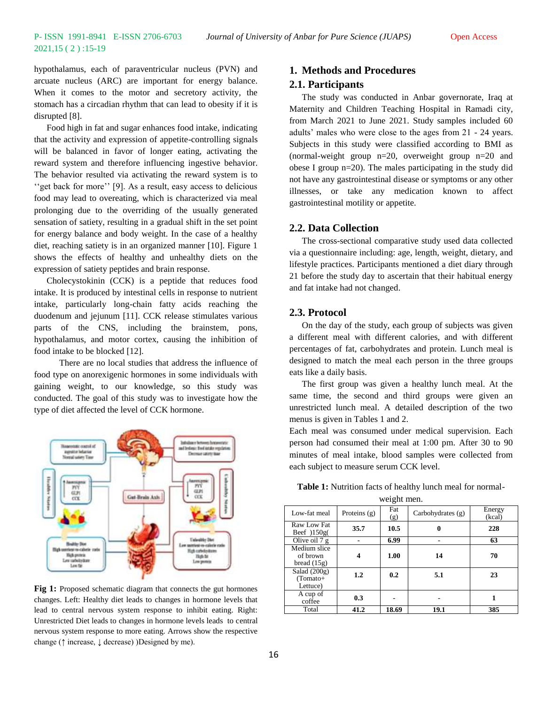hypothalamus, each of paraventricular nucleus (PVN) and arcuate nucleus (ARC) are important for energy balance. When it comes to the motor and secretory activity, the stomach has a circadian rhythm that can lead to obesity if it is disrupted [8].

Food high in fat and sugar enhances food intake, indicating that the activity and expression of appetite-controlling signals will be balanced in favor of longer eating, activating the reward system and therefore influencing ingestive behavior. The behavior resulted via activating the reward system is to ''get back for more'' [9]. As a result, easy access to delicious food may lead to overeating, which is characterized via meal prolonging due to the overriding of the usually generated sensation of satiety, resulting in a gradual shift in the set point for energy balance and body weight. In the case of a healthy diet, reaching satiety is in an organized manner [10]. Figure 1 shows the effects of healthy and unhealthy diets on the expression of satiety peptides and brain response.

Cholecystokinin (CCK) is a peptide that reduces food intake. It is produced by intestinal cells in response to nutrient intake, particularly long-chain fatty acids reaching the duodenum and jejunum [11]. CCK release stimulates various parts of the CNS, including the brainstem, pons, hypothalamus, and motor cortex, causing the inhibition of food intake to be blocked [12].

There are no local studies that address the influence of food type on anorexigenic hormones in some individuals with gaining weight, to our knowledge, so this study was conducted. The goal of this study was to investigate how the type of diet affected the level of CCK hormone.



**Fig 1:** Proposed schematic diagram that connects the gut hormones changes. Left: Healthy diet leads to changes in hormone levels that lead to central nervous system response to inhibit eating. Right: Unrestricted Diet leads to changes in hormone levels leads to central nervous system response to more eating. Arrows show the respective change (↑ increase, ↓ decrease) )Designed by me).

# **1. Methods and Procedures**

## **2.1. Participants**

The study was conducted in Anbar governorate, Iraq at Maternity and Children Teaching Hospital in Ramadi city, from March 2021 to June 2021. Study samples included 60 adults' males who were close to the ages from 21 - 24 years. Subjects in this study were classified according to BMI as (normal-weight group n=20, overweight group n=20 and obese I group n=20). The males participating in the study did not have any gastrointestinal disease or symptoms or any other illnesses, or take any medication known to affect gastrointestinal motility or appetite.

#### **2.2. Data Collection**

The cross-sectional comparative study used data collected via a questionnaire including: age, length, weight, dietary, and lifestyle practices. Participants mentioned a diet diary through 21 before the study day to ascertain that their habitual energy and fat intake had not changed.

# **2.3. Protocol**

On the day of the study, each group of subjects was given a different meal with different calories, and with different percentages of fat, carbohydrates and protein. Lunch meal is designed to match the meal each person in the three groups eats like a daily basis.

The first group was given a healthy lunch meal. At the same time, the second and third groups were given an unrestricted lunch meal. A detailed description of the two menus is given in Tables 1 and 2.

Each meal was consumed under medical supervision. Each person had consumed their meal at 1:00 pm. After 30 to 90 minutes of meal intake, blood samples were collected from each subject to measure serum CCK level.

| Table 1: Nutrition facts of healthy lunch meal for normal- |  |  |  |
|------------------------------------------------------------|--|--|--|
|                                                            |  |  |  |

| Low-fat meal                              | Proteins $(g)$   | Fat<br>(g) | Carbohydrates $(g)$ | Energy<br>(kcal) |
|-------------------------------------------|------------------|------------|---------------------|------------------|
| Raw Low Fat<br>Beef $150g$                | 35.7             | 10.5       |                     | 228              |
| Olive oil $7g$                            |                  | 6.99       |                     | 63               |
| Medium slice<br>of brown<br>bread $(15g)$ |                  | 1.00       | 14                  | 70               |
| Salad $(200g)$<br>(Tomato+<br>Lettuce)    | $1.2\phantom{0}$ | 0.2        | 5.1                 | 23               |
| A cup of<br>coffee                        | 0.3              |            |                     |                  |
| Total                                     | 41.2             | 18.69      | 19.1                | 385              |

weight men.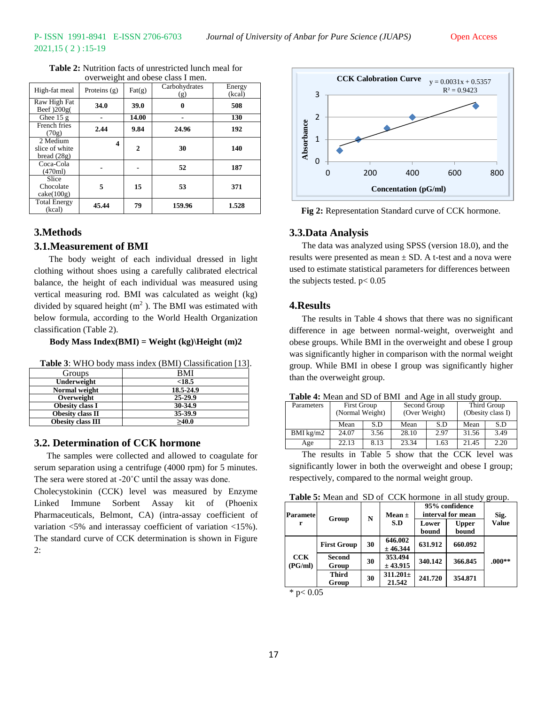| High-fat meal                               | Proteins $(g)$ | $\text{Fat}(\text{g})$ | Carbohydrates<br>(g) | Energy<br>(kcal) |
|---------------------------------------------|----------------|------------------------|----------------------|------------------|
| Raw High Fat<br>Beef )200g(                 | 34.0           | 39.0                   | 0                    | 508              |
| Ghee $15g$                                  |                | 14.00                  |                      | 130              |
| French fries<br>(70g)                       | 2.44           | 9.84                   | 24.96                | 192              |
| 2 Medium<br>slice of white<br>bread $(28g)$ | 4              | $\mathbf{2}$           | 30                   | 140              |
| Coca-Cola<br>(470ml)                        |                |                        | 52                   | 187              |
| Slice<br>Chocolate<br>$\text{cake}(100g)$   | 5              | 15                     | 53                   | 371              |
| <b>Total Energy</b><br>(kcal)               | 45.44          | 79                     | 159.96               | 1.528            |

**Table 2:** Nutrition facts of unrestricted lunch meal for overweight and obese class I men.

# **3.Methods**

#### **3.1.Measurement of BMI**

The body weight of each individual dressed in light clothing without shoes using a carefully calibrated electrical balance, the height of each individual was measured using vertical measuring rod. BMI was calculated as weight (kg) divided by squared height  $(m^2)$ . The BMI was estimated with below formula, according to the World Health Organization classification (Table 2).

#### **Body Mass Index(BMI) = Weight (kg)\Height (m)2**

| Table 3: WHO body mass index (BMI) Classification [13]. |  |  |  |  |
|---------------------------------------------------------|--|--|--|--|
|---------------------------------------------------------|--|--|--|--|

| Groups                   | BMI         |
|--------------------------|-------------|
| Underweight              | < 18.5      |
| Normal weight            | 18.5-24.9   |
| Overweight               | $25 - 29.9$ |
| Obesity class I          | 30-34.9     |
| Obesity class II         | 35-39.9     |
| <b>Obesity class III</b> | >40.0       |

## **3.2. Determination of CCK hormone**

The samples were collected and allowed to coagulate for serum separation using a centrifuge (4000 rpm) for 5 minutes. The sera were stored at -20˚C until the assay was done.

Cholecystokinin (CCK) level was measured by Enzyme Linked Immune Sorbent Assay kit of (Phoenix Pharmaceuticals, Belmont, CA) (intra-assay coefficient of variation <5% and interassay coefficient of variation <15%). The standard curve of CCK determination is shown in Figure 2:



**Fig 2:** Representation Standard curve of CCK hormone.

#### **3.3.Data Analysis**

The data was analyzed using SPSS (version 18.0), and the results were presented as mean  $\pm$  SD. A t-test and a nova were used to estimate statistical parameters for differences between the subjects tested.  $p < 0.05$ 

#### **4.Results**

The results in Table 4 shows that there was no significant difference in age between normal-weight, overweight and obese groups. While BMI in the overweight and obese I group was significantly higher in comparison with the normal weight group. While BMI in obese I group was significantly higher than the overweight group.

| Parameters  | <b>First Group</b><br>(Normal Weight) |      | Second Group<br>(Over Weight) |      | Third Group<br>(Obesity class I) |      |  |
|-------------|---------------------------------------|------|-------------------------------|------|----------------------------------|------|--|
|             | Mean                                  | S.D  | Mean                          | S.D  | Mean                             | S.D  |  |
| BMI $kg/m2$ | 24.07                                 | 3.56 | 28.10                         | 2.97 | 31.56                            | 3.49 |  |

**Table 4:** Mean and SD of BMI and Age in all study group.

Age 22.13 8.13 23.34 1.63 21.45

The results in Table 5 show that the CCK level was significantly lower in both the overweight and obese I group; respectively, compared to the normal weight group.

**Table 5:** Mean and SD of CCK hormone in all study group.

| Paramete<br>r  |                       | N  | Mean $\pm$              | 95% confidence<br>interval for mean |                       | Sig.         |
|----------------|-----------------------|----|-------------------------|-------------------------------------|-----------------------|--------------|
|                | Group                 |    | S.D                     | Lower<br>bound                      | <b>Upper</b><br>bound | <b>Value</b> |
|                | <b>First Group</b>    | 30 | 646.002<br>± 46.344     | 631.912                             | 660.092               |              |
| CCK<br>(PG/ml) | Second<br>Group       | 30 | 353.494<br>± 43.915     | 340.142                             | 366.845               | $.000**$     |
|                | <b>Third</b><br>Group | 30 | $311.201 \pm$<br>21.542 | 241.720                             | 354.871               |              |

\* p $< 0.05$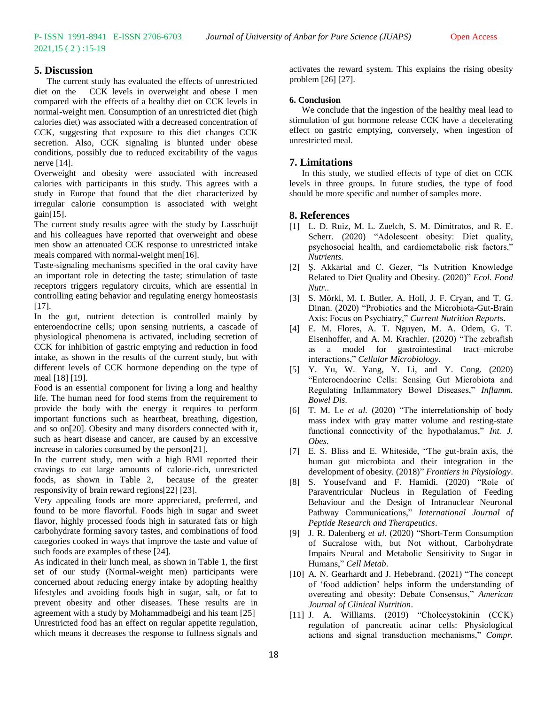### **5. Discussion**

The current study has evaluated the effects of unrestricted diet on the CCK levels in overweight and obese I men compared with the effects of a healthy diet on CCK levels in normal-weight men. Consumption of an unrestricted diet (high calories diet) was associated with a decreased concentration of CCK, suggesting that exposure to this diet changes CCK secretion. Also, CCK signaling is blunted under obese conditions, possibly due to reduced excitability of the vagus nerve [14].

Overweight and obesity were associated with increased calories with participants in this study. This agrees with a study in Europe that found that the diet characterized by irregular calorie consumption is associated with weight  $gain[15]$ .

The current study results agree with the study by Lasschuijt and his colleagues have reported that overweight and obese men show an attenuated CCK response to unrestricted intake meals compared with normal-weight men[16].

Taste-signaling mechanisms specified in the oral cavity have an important role in detecting the taste; stimulation of taste receptors triggers regulatory circuits, which are essential in controlling eating behavior and regulating energy homeostasis [17].

In the gut, nutrient detection is controlled mainly by enteroendocrine cells; upon sensing nutrients, a cascade of physiological phenomena is activated, including secretion of CCK for inhibition of gastric emptying and reduction in food intake, as shown in the results of the current study, but with different levels of CCK hormone depending on the type of meal [18] [19].

Food is an essential component for living a long and healthy life. The human need for food stems from the requirement to provide the body with the energy it requires to perform important functions such as heartbeat, breathing, digestion, and so on[20]. Obesity and many disorders connected with it, such as heart disease and cancer, are caused by an excessive increase in calories consumed by the person[21].

In the current study, men with a high BMI reported their cravings to eat large amounts of calorie-rich, unrestricted foods, as shown in Table 2, because of the greater responsivity of brain reward regions[22] [23].

Very appealing foods are more appreciated, preferred, and found to be more flavorful. Foods high in sugar and sweet flavor, highly processed foods high in saturated fats or high carbohydrate forming savory tastes, and combinations of food categories cooked in ways that improve the taste and value of such foods are examples of these [24].

As indicated in their lunch meal, as shown in Table 1, the first set of our study (Normal-weight men) participants were concerned about reducing energy intake by adopting healthy lifestyles and avoiding foods high in sugar, salt, or fat to prevent obesity and other diseases. These results are in agreement with a study by Mohammadbeigi and his team [25] Unrestricted food has an effect on regular appetite regulation, which means it decreases the response to fullness signals and

activates the reward system. This explains the rising obesity problem [26] [27].

#### **6. Conclusion**

We conclude that the ingestion of the healthy meal lead to stimulation of gut hormone release CCK have a decelerating effect on gastric emptying, conversely, when ingestion of unrestricted meal.

#### **7. Limitations**

In this study, we studied effects of type of diet on CCK levels in three groups. In future studies, the type of food should be more specific and number of samples more.

### **8. References**

- [1] L. D. Ruiz, M. L. Zuelch, S. M. Dimitratos, and R. E. Scherr. (2020) "Adolescent obesity: Diet quality, psychosocial health, and cardiometabolic risk factors," *Nutrients*.
- [2] Ş. Akkartal and C. Gezer, "Is Nutrition Knowledge Related to Diet Quality and Obesity. (2020)" *Ecol. Food Nutr.*.
- [3] S. Mörkl, M. I. Butler, A. Holl, J. F. Cryan, and T. G. Dinan. (2020) "Probiotics and the Microbiota-Gut-Brain Axis: Focus on Psychiatry," *Current Nutrition Reports*.
- [4] E. M. Flores, A. T. Nguyen, M. A. Odem, G. T. Eisenhoffer, and A. M. Krachler. (2020) "The zebrafish as a model for gastrointestinal tract–microbe interactions," *Cellular Microbiology*.
- [5] Y. Yu, W. Yang, Y. Li, and Y. Cong. (2020) "Enteroendocrine Cells: Sensing Gut Microbiota and Regulating Inflammatory Bowel Diseases," *Inflamm. Bowel Dis*.
- [6] T. M. Le *et al.* (2020) "The interrelationship of body mass index with gray matter volume and resting-state functional connectivity of the hypothalamus," *Int. J. Obes*.
- [7] E. S. Bliss and E. Whiteside, "The gut-brain axis, the human gut microbiota and their integration in the development of obesity. (2018)" *Frontiers in Physiology*.
- [8] S. Yousefvand and F. Hamidi. (2020) "Role of Paraventricular Nucleus in Regulation of Feeding Behaviour and the Design of Intranuclear Neuronal Pathway Communications," *International Journal of Peptide Research and Therapeutics*.
- [9] J. R. Dalenberg *et al.* (2020) "Short-Term Consumption of Sucralose with, but Not without, Carbohydrate Impairs Neural and Metabolic Sensitivity to Sugar in Humans," *Cell Metab*.
- [10] A. N. Gearhardt and J. Hebebrand. (2021) "The concept of 'food addiction' helps inform the understanding of overeating and obesity: Debate Consensus," *American Journal of Clinical Nutrition*.
- [11] J. A. Williams. (2019) "Cholecystokinin (CCK) regulation of pancreatic acinar cells: Physiological actions and signal transduction mechanisms," *Compr.*